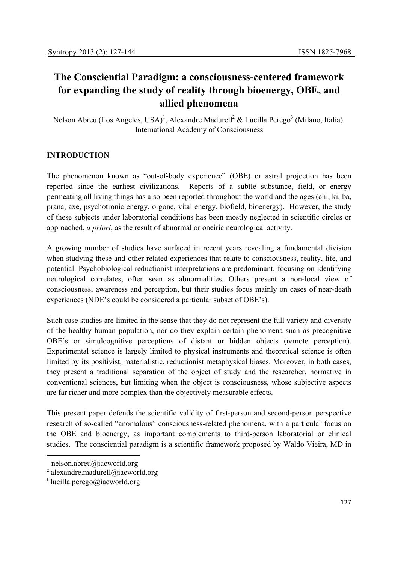# **The Consciential Paradigm: a consciousness-centered framework for expanding the study of reality through bioenergy, OBE, and allied phenomena**

Nelson Abreu (Los Angeles, USA)<sup>1</sup>, Alexandre Madurell<sup>2</sup> & Lucilla Perego<sup>3</sup> (Milano, Italia). International Academy of Consciousness

## **INTRODUCTION**

The phenomenon known as "out-of-body experience" (OBE) or astral projection has been reported since the earliest civilizations. Reports of a subtle substance, field, or energy permeating all living things has also been reported throughout the world and the ages (chi, ki, ba, prana, axe, psychotronic energy, orgone, vital energy, biofield, bioenergy). However, the study of these subjects under laboratorial conditions has been mostly neglected in scientific circles or approached, *a priori*, as the result of abnormal or oneiric neurological activity.

A growing number of studies have surfaced in recent years revealing a fundamental division when studying these and other related experiences that relate to consciousness, reality, life, and potential. Psychobiological reductionist interpretations are predominant, focusing on identifying neurological correlates, often seen as abnormalities. Others present a non-local view of consciousness, awareness and perception, but their studies focus mainly on cases of near-death experiences (NDE's could be considered a particular subset of OBE's).

Such case studies are limited in the sense that they do not represent the full variety and diversity of the healthy human population, nor do they explain certain phenomena such as precognitive OBE's or simulcognitive perceptions of distant or hidden objects (remote perception). Experimental science is largely limited to physical instruments and theoretical science is often limited by its positivist, materialistic, reductionist metaphysical biases. Moreover, in both cases, they present a traditional separation of the object of study and the researcher, normative in conventional sciences, but limiting when the object is consciousness, whose subjective aspects are far richer and more complex than the objectively measurable effects.

This present paper defends the scientific validity of first-person and second-person perspective research of so-called "anomalous" consciousness-related phenomena, with a particular focus on the OBE and bioenergy, as important complements to third-person laboratorial or clinical studies. The consciential paradigm is a scientific framework proposed by Waldo Vieira, MD in

**.** 

 $\frac{1}{1}$  nelson.abreu@iacworld.org

<sup>2</sup> alexandre.madurell@iacworld.org

 $3$  lucilla.perego@iacworld.org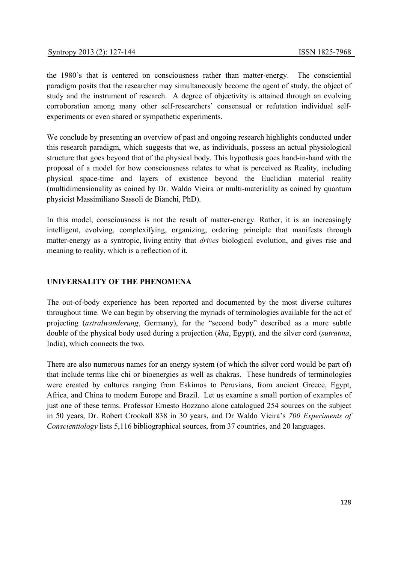the 1980's that is centered on consciousness rather than matter-energy. The consciential paradigm posits that the researcher may simultaneously become the agent of study, the object of study and the instrument of research. A degree of objectivity is attained through an evolving corroboration among many other self-researchers' consensual or refutation individual selfexperiments or even shared or sympathetic experiments.

We conclude by presenting an overview of past and ongoing research highlights conducted under this research paradigm, which suggests that we, as individuals, possess an actual physiological structure that goes beyond that of the physical body. This hypothesis goes hand-in-hand with the proposal of a model for how consciousness relates to what is perceived as Reality, including physical space-time and layers of existence beyond the Euclidian material reality (multidimensionality as coined by Dr. Waldo Vieira or multi-materiality as coined by quantum physicist Massimiliano Sassoli de Bianchi, PhD).

In this model, consciousness is not the result of matter-energy. Rather, it is an increasingly intelligent, evolving, complexifying, organizing, ordering principle that manifests through matter-energy as a syntropic, living entity that *drives* biological evolution, and gives rise and meaning to reality, which is a reflection of it.

## **UNIVERSALITY OF THE PHENOMENA**

The out-of-body experience has been reported and documented by the most diverse cultures throughout time. We can begin by observing the myriads of terminologies available for the act of projecting (*astralwanderung*, Germany), for the "second body" described as a more subtle double of the physical body used during a projection (*kha*, Egypt), and the silver cord (*sutratma*, India), which connects the two.

There are also numerous names for an energy system (of which the silver cord would be part of) that include terms like chi or bioenergies as well as chakras. These hundreds of terminologies were created by cultures ranging from Eskimos to Peruvians, from ancient Greece, Egypt, Africa, and China to modern Europe and Brazil. Let us examine a small portion of examples of just one of these terms. Professor Ernesto Bozzano alone catalogued 254 sources on the subject in 50 years, Dr. Robert Crookall 838 in 30 years, and Dr Waldo Vieira's *700 Experiments of Conscientiology* lists 5,116 bibliographical sources, from 37 countries, and 20 languages.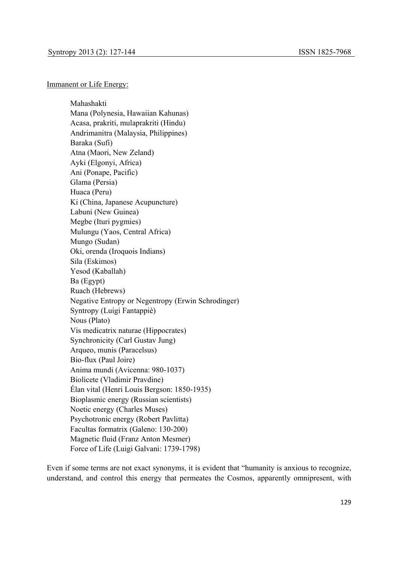#### Immanent or Life Energy:

Mahashakti Mana (Polynesia, Hawaiian Kahunas) Acasa, prakriti, mulaprakriti (Hindu) Andrimanitra (Malaysia, Philippines) Baraka (Sufi) Atna (Maori, New Zeland) Ayki (Elgonyi, Africa) Ani (Ponape, Pacific) Glama (Persia) Huaca (Peru) Ki (China, Japanese Acupuncture) Labuni (New Guinea) Megbe (Ituri pygmies) Mulungu (Yaos, Central Africa) Mungo (Sudan) Oki, orenda (Iroquois Indians) Sila (Eskimos) Yesod (Kaballah) Ba (Egypt) Ruach (Hebrews) Negative Entropy or Negentropy (Erwin Schrodinger) Syntropy (Luigi Fantappiè) Nous (Plato) Vis medicatrix naturae (Hippocrates) Synchronicity (Carl Gustav Jung) Arqueo, munis (Paracelsus) Bio-flux (Paul Joire) Anima mundi (Avicenna: 980-1037) Biolicete (Vladimir Pravdine) Élan vital (Henri Louis Bergson: 1850-1935) Bioplasmic energy (Russian scientists) Noetic energy (Charles Muses) Psychotronic energy (Robert Pavlitta) Facultas formatrix (Galeno: 130-200) Magnetic fluid (Franz Anton Mesmer) Force of Life (Luigi Galvani: 1739-1798)

Even if some terms are not exact synonyms, it is evident that "humanity is anxious to recognize, understand, and control this energy that permeates the Cosmos, apparently omnipresent, with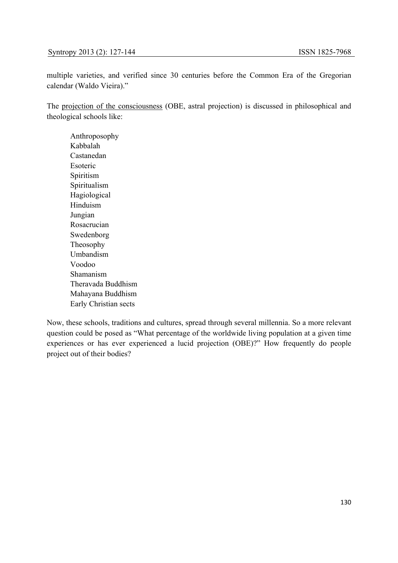multiple varieties, and verified since 30 centuries before the Common Era of the Gregorian calendar (Waldo Vieira)."

The projection of the consciousness (OBE, astral projection) is discussed in philosophical and theological schools like:

Anthroposophy Kabbalah Castanedan Esoteric Spiritism Spiritualism Hagiological Hinduism Jungian Rosacrucian Swedenborg Theosophy Umbandism Voodoo Shamanism Theravada Buddhism Mahayana Buddhism Early Christian sects

Now, these schools, traditions and cultures, spread through several millennia. So a more relevant question could be posed as "What percentage of the worldwide living population at a given time experiences or has ever experienced a lucid projection (OBE)?" How frequently do people project out of their bodies?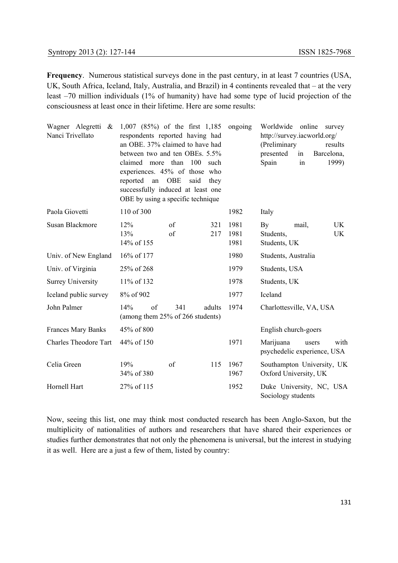**Frequency**. Numerous statistical surveys done in the past century, in at least 7 countries (USA, UK, South Africa, Iceland, Italy, Australia, and Brazil) in 4 continents revealed that – at the very least –70 million individuals (1% of humanity) have had some type of lucid projection of the consciousness at least once in their lifetime. Here are some results:

| Wagner Alegretti &<br>Nanci Trivellato | 1,007 (85%) of the first 1,185<br>respondents reported having had<br>an OBE. 37% claimed to have had<br>between two and ten OBEs. 5.5%<br>claimed more than<br>experiences. 45% of those who<br>reported an<br>successfully induced at least one<br>OBE by using a specific technique | 100<br><b>OBE</b><br>said | such<br>they | ongoing              | Worldwide<br>online<br>survey<br>http://survey.iacworld.org/<br>(Preliminary<br>results<br>presented<br>Barcelona,<br>in<br>Spain<br>1999)<br>in |
|----------------------------------------|---------------------------------------------------------------------------------------------------------------------------------------------------------------------------------------------------------------------------------------------------------------------------------------|---------------------------|--------------|----------------------|--------------------------------------------------------------------------------------------------------------------------------------------------|
| Paola Giovetti                         | 110 of 300                                                                                                                                                                                                                                                                            |                           |              | 1982                 | Italy                                                                                                                                            |
| <b>Susan Blackmore</b>                 | 12%<br>13%<br>14% of 155                                                                                                                                                                                                                                                              | of<br>of                  | 321<br>217   | 1981<br>1981<br>1981 | UK<br>By<br>mail,<br>Students,<br>UK<br>Students, UK                                                                                             |
| Univ. of New England                   | 16% of 177                                                                                                                                                                                                                                                                            |                           |              | 1980                 | Students, Australia                                                                                                                              |
| Univ. of Virginia                      | 25% of 268                                                                                                                                                                                                                                                                            |                           |              | 1979                 | Students, USA                                                                                                                                    |
| <b>Surrey University</b>               | 11% of 132                                                                                                                                                                                                                                                                            |                           |              | 1978                 | Students, UK                                                                                                                                     |
| Iceland public survey                  | 8% of 902                                                                                                                                                                                                                                                                             |                           |              | 1977                 | Iceland                                                                                                                                          |
| John Palmer                            | 14%<br>of<br>(among them 25% of 266 students)                                                                                                                                                                                                                                         | 341                       | adults       | 1974                 | Charlottesville, VA, USA                                                                                                                         |
| <b>Frances Mary Banks</b>              | 45% of 800                                                                                                                                                                                                                                                                            |                           |              |                      | English church-goers                                                                                                                             |
| <b>Charles Theodore Tart</b>           | 44% of 150                                                                                                                                                                                                                                                                            |                           |              | 1971                 | Marijuana<br>with<br>users<br>psychedelic experience, USA                                                                                        |
| Celia Green                            | 19%<br>34% of 380                                                                                                                                                                                                                                                                     | of                        | 115          | 1967<br>1967         | Southampton University, UK<br>Oxford University, UK                                                                                              |
| Hornell Hart                           | 27% of 115                                                                                                                                                                                                                                                                            |                           |              | 1952                 | Duke University, NC, USA<br>Sociology students                                                                                                   |

Now, seeing this list, one may think most conducted research has been Anglo-Saxon, but the multiplicity of nationalities of authors and researchers that have shared their experiences or studies further demonstrates that not only the phenomena is universal, but the interest in studying it as well. Here are a just a few of them, listed by country: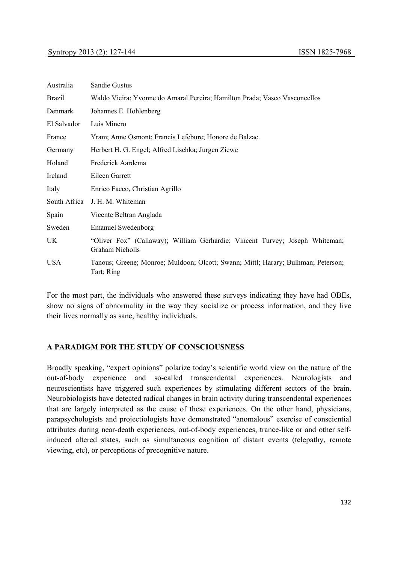| Australia     | Sandie Gustus                                                                                   |
|---------------|-------------------------------------------------------------------------------------------------|
| <b>Brazil</b> | Waldo Vieira; Yvonne do Amaral Pereira; Hamilton Prada; Vasco Vasconcellos                      |
| Denmark       | Johannes E. Hohlenberg                                                                          |
| El Salvador   | Luis Minero                                                                                     |
| France        | Yram; Anne Osmont; Francis Lefebure; Honore de Balzac.                                          |
| Germany       | Herbert H. G. Engel; Alfred Lischka; Jurgen Ziewe                                               |
| Holand        | Frederick Aardema                                                                               |
| Ireland       | Eileen Garrett                                                                                  |
| Italy         | Enrico Facco, Christian Agrillo                                                                 |
| South Africa  | J. H. M. Whiteman                                                                               |
| Spain         | Vicente Beltran Anglada                                                                         |
| Sweden        | <b>Emanuel Swedenborg</b>                                                                       |
| UK            | "Oliver Fox" (Callaway); William Gerhardie; Vincent Turvey; Joseph Whiteman;<br>Graham Nicholls |
| <b>USA</b>    | Tanous; Greene; Monroe; Muldoon; Olcott; Swann; Mittl; Harary; Bulhman; Peterson;<br>Tart; Ring |

For the most part, the individuals who answered these surveys indicating they have had OBEs, show no signs of abnormality in the way they socialize or process information, and they live their lives normally as sane, healthy individuals.

## **A PARADIGM FOR THE STUDY OF CONSCIOUSNESS**

Broadly speaking, "expert opinions" polarize today's scientific world view on the nature of the out-of-body experience and so-called transcendental experiences. Neurologists and neuroscientists have triggered such experiences by stimulating different sectors of the brain. Neurobiologists have detected radical changes in brain activity during transcendental experiences that are largely interpreted as the cause of these experiences. On the other hand, physicians, parapsychologists and projectiologists have demonstrated "anomalous" exercise of consciential attributes during near-death experiences, out-of-body experiences, trance-like or and other selfinduced altered states, such as simultaneous cognition of distant events (telepathy, remote viewing, etc), or perceptions of precognitive nature.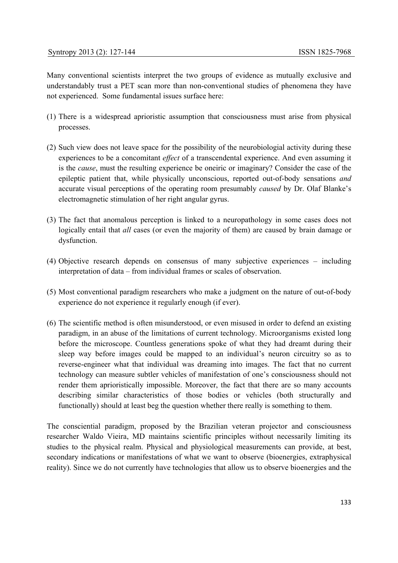Many conventional scientists interpret the two groups of evidence as mutually exclusive and understandably trust a PET scan more than non-conventional studies of phenomena they have not experienced. Some fundamental issues surface here:

- (1) There is a widespread aprioristic assumption that consciousness must arise from physical processes.
- (2) Such view does not leave space for the possibility of the neurobiologial activity during these experiences to be a concomitant *effect* of a transcendental experience. And even assuming it is the *cause*, must the resulting experience be oneiric or imaginary? Consider the case of the epileptic patient that, while physically unconscious, reported out-of-body sensations *and* accurate visual perceptions of the operating room presumably *caused* by Dr. Olaf Blanke's electromagnetic stimulation of her right angular gyrus.
- (3) The fact that anomalous perception is linked to a neuropathology in some cases does not logically entail that *all* cases (or even the majority of them) are caused by brain damage or dysfunction.
- (4) Objective research depends on consensus of many subjective experiences including interpretation of data – from individual frames or scales of observation.
- (5) Most conventional paradigm researchers who make a judgment on the nature of out-of-body experience do not experience it regularly enough (if ever).
- (6) The scientific method is often misunderstood, or even misused in order to defend an existing paradigm, in an abuse of the limitations of current technology. Microorganisms existed long before the microscope. Countless generations spoke of what they had dreamt during their sleep way before images could be mapped to an individual's neuron circuitry so as to reverse-engineer what that individual was dreaming into images. The fact that no current technology can measure subtler vehicles of manifestation of one's consciousness should not render them aprioristically impossible. Moreover, the fact that there are so many accounts describing similar characteristics of those bodies or vehicles (both structurally and functionally) should at least beg the question whether there really is something to them.

The consciential paradigm, proposed by the Brazilian veteran projector and consciousness researcher Waldo Vieira, MD maintains scientific principles without necessarily limiting its studies to the physical realm. Physical and physiological measurements can provide, at best, secondary indications or manifestations of what we want to observe (bioenergies, extraphysical reality). Since we do not currently have technologies that allow us to observe bioenergies and the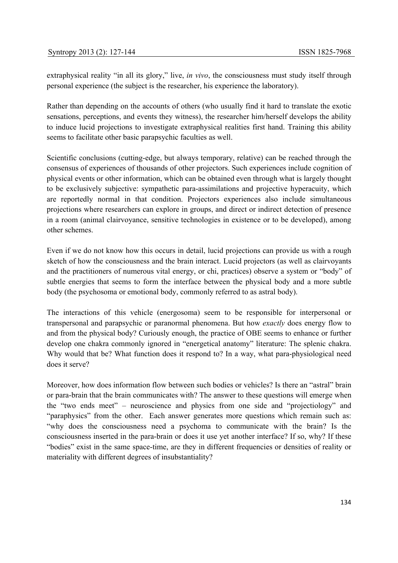extraphysical reality "in all its glory," live, *in vivo*, the consciousness must study itself through personal experience (the subject is the researcher, his experience the laboratory).

Rather than depending on the accounts of others (who usually find it hard to translate the exotic sensations, perceptions, and events they witness), the researcher him/herself develops the ability to induce lucid projections to investigate extraphysical realities first hand. Training this ability seems to facilitate other basic parapsychic faculties as well.

Scientific conclusions (cutting-edge, but always temporary, relative) can be reached through the consensus of experiences of thousands of other projectors. Such experiences include cognition of physical events or other information, which can be obtained even through what is largely thought to be exclusively subjective: sympathetic para-assimilations and projective hyperacuity, which are reportedly normal in that condition. Projectors experiences also include simultaneous projections where researchers can explore in groups, and direct or indirect detection of presence in a room (animal clairvoyance, sensitive technologies in existence or to be developed), among other schemes.

Even if we do not know how this occurs in detail, lucid projections can provide us with a rough sketch of how the consciousness and the brain interact. Lucid projectors (as well as clairvoyants and the practitioners of numerous vital energy, or chi, practices) observe a system or "body" of subtle energies that seems to form the interface between the physical body and a more subtle body (the psychosoma or emotional body, commonly referred to as astral body).

The interactions of this vehicle (energosoma) seem to be responsible for interpersonal or transpersonal and parapsychic or paranormal phenomena. But how *exactly* does energy flow to and from the physical body? Curiously enough, the practice of OBE seems to enhance or further develop one chakra commonly ignored in "energetical anatomy" literature: The splenic chakra. Why would that be? What function does it respond to? In a way, what para-physiological need does it serve?

Moreover, how does information flow between such bodies or vehicles? Is there an "astral" brain or para-brain that the brain communicates with? The answer to these questions will emerge when the "two ends meet" – neuroscience and physics from one side and "projectiology" and "paraphysics" from the other. Each answer generates more questions which remain such as: "why does the consciousness need a psychoma to communicate with the brain? Is the consciousness inserted in the para-brain or does it use yet another interface? If so, why? If these "bodies" exist in the same space-time, are they in different frequencies or densities of reality or materiality with different degrees of insubstantiality?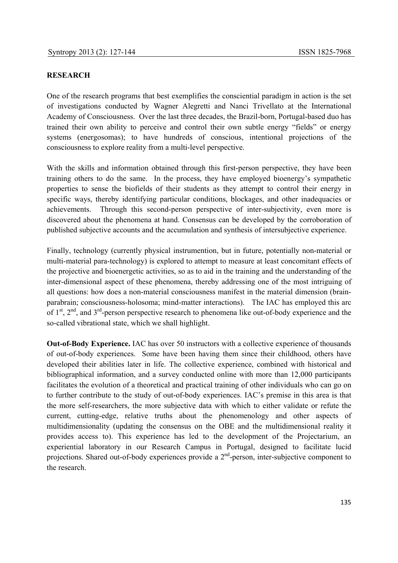### **RESEARCH**

One of the research programs that best exemplifies the consciential paradigm in action is the set of investigations conducted by Wagner Alegretti and Nanci Trivellato at the International Academy of Consciousness. Over the last three decades, the Brazil-born, Portugal-based duo has trained their own ability to perceive and control their own subtle energy "fields" or energy systems (energosomas); to have hundreds of conscious, intentional projections of the consciousness to explore reality from a multi-level perspective.

With the skills and information obtained through this first-person perspective, they have been training others to do the same. In the process, they have employed bioenergy's sympathetic properties to sense the biofields of their students as they attempt to control their energy in specific ways, thereby identifying particular conditions, blockages, and other inadequacies or achievements. Through this second-person perspective of inter-subjectivity, even more is discovered about the phenomena at hand. Consensus can be developed by the corroboration of published subjective accounts and the accumulation and synthesis of intersubjective experience.

Finally, technology (currently physical instrumention, but in future, potentially non-material or multi-material para-technology) is explored to attempt to measure at least concomitant effects of the projective and bioenergetic activities, so as to aid in the training and the understanding of the inter-dimensional aspect of these phenomena, thereby addressing one of the most intriguing of all questions: how does a non-material consciousness manifest in the material dimension (brainparabrain; consciousness-holosoma; mind-matter interactions). The IAC has employed this arc of  $1<sup>st</sup>$ ,  $2<sup>nd</sup>$ , and  $3<sup>rd</sup>$ -person perspective research to phenomena like out-of-body experience and the so-called vibrational state, which we shall highlight.

**Out-of-Body Experience.** IAC has over 50 instructors with a collective experience of thousands of out-of-body experiences. Some have been having them since their childhood, others have developed their abilities later in life. The collective experience, combined with historical and bibliographical information, and a survey conducted online with more than 12,000 participants facilitates the evolution of a theoretical and practical training of other individuals who can go on to further contribute to the study of out-of-body experiences. IAC's premise in this area is that the more self-researchers, the more subjective data with which to either validate or refute the current, cutting-edge, relative truths about the phenomenology and other aspects of multidimensionality (updating the consensus on the OBE and the multidimensional reality it provides access to). This experience has led to the development of the Projectarium, an experiential laboratory in our Research Campus in Portugal, designed to facilitate lucid projections. Shared out-of-body experiences provide a  $2<sup>nd</sup>$ -person, inter-subjective component to the research.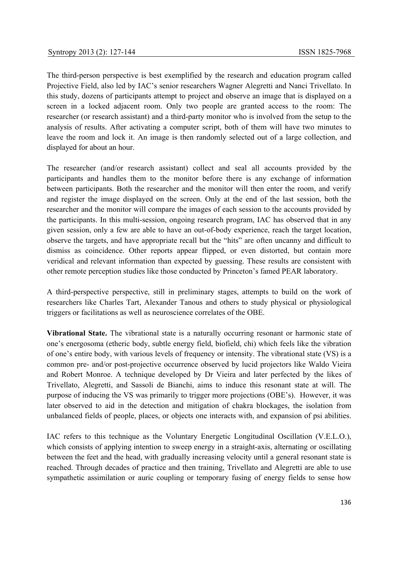The third-person perspective is best exemplified by the research and education program called Projective Field, also led by IAC's senior researchers Wagner Alegretti and Nanci Trivellato. In this study, dozens of participants attempt to project and observe an image that is displayed on a screen in a locked adjacent room. Only two people are granted access to the room: The researcher (or research assistant) and a third-party monitor who is involved from the setup to the analysis of results. After activating a computer script, both of them will have two minutes to leave the room and lock it. An image is then randomly selected out of a large collection, and displayed for about an hour.

The researcher (and/or research assistant) collect and seal all accounts provided by the participants and handles them to the monitor before there is any exchange of information between participants. Both the researcher and the monitor will then enter the room, and verify and register the image displayed on the screen. Only at the end of the last session, both the researcher and the monitor will compare the images of each session to the accounts provided by the participants. In this multi-session, ongoing research program, IAC has observed that in any given session, only a few are able to have an out-of-body experience, reach the target location, observe the targets, and have appropriate recall but the "hits" are often uncanny and difficult to dismiss as coincidence. Other reports appear flipped, or even distorted, but contain more veridical and relevant information than expected by guessing. These results are consistent with other remote perception studies like those conducted by Princeton's famed PEAR laboratory.

A third-perspective perspective, still in preliminary stages, attempts to build on the work of researchers like Charles Tart, Alexander Tanous and others to study physical or physiological triggers or facilitations as well as neuroscience correlates of the OBE.

**Vibrational State.** The vibrational state is a naturally occurring resonant or harmonic state of one's energosoma (etheric body, subtle energy field, biofield, chi) which feels like the vibration of one's entire body, with various levels of frequency or intensity. The vibrational state (VS) is a common pre- and/or post-projective occurrence observed by lucid projectors like Waldo Vieira and Robert Monroe. A technique developed by Dr Vieira and later perfected by the likes of Trivellato, Alegretti, and Sassoli de Bianchi, aims to induce this resonant state at will. The purpose of inducing the VS was primarily to trigger more projections (OBE's). However, it was later observed to aid in the detection and mitigation of chakra blockages, the isolation from unbalanced fields of people, places, or objects one interacts with, and expansion of psi abilities.

IAC refers to this technique as the Voluntary Energetic Longitudinal Oscillation (V.E.L.O.), which consists of applying intention to sweep energy in a straight-axis, alternating or oscillating between the feet and the head, with gradually increasing velocity until a general resonant state is reached. Through decades of practice and then training, Trivellato and Alegretti are able to use sympathetic assimilation or auric coupling or temporary fusing of energy fields to sense how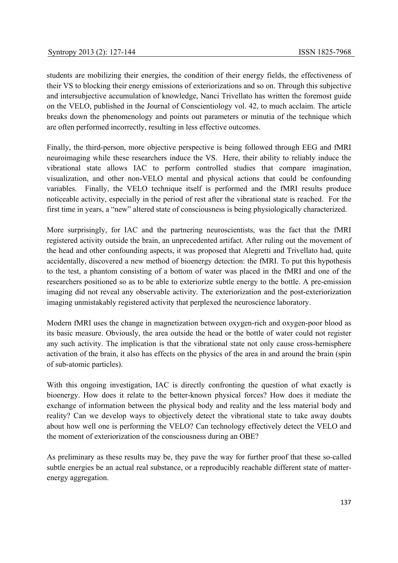students are mobilizing their energies, the condition of their energy fields, the effectiveness of their VS to blocking their energy emissions of exteriorizations and so on. Through this subjective and intersubjective accumulation of knowledge, Nanci Trivellato has written the foremost guide on the VELO, published in the Journal of Conscientiology vol. 42, to much acclaim. The article breaks down the phenomenology and points out parameters or minutia of the technique which are often performed incorrectly, resulting in less effective outcomes.

Finally, the third-person, more objective perspective is being followed through EEG and fMRI neuroimaging while these researchers induce the VS. Here, their ability to reliably induce the vibrational state allows IAC to perform controlled studies that compare imagination, visualization, and other non-VELO mental and physical actions that could be confounding variables. Finally, the VELO technique itself is performed and the fMRI results produce noticeable activity, especially in the period of rest after the vibrational state is reached. For the first time in years, a "new" altered state of consciousness is being physiologically characterized.

More surprisingly, for IAC and the partnering neuroscientists, was the fact that the fMRI registered activity outside the brain, an unprecedented artifact. After ruling out the movement of the head and other confounding aspects, it was proposed that Alegretti and Trivellato had, quite accidentally, discovered a new method of bioenergy detection: the fMRI. To put this hypothesis to the test, a phantom consisting of a bottom of water was placed in the fMRI and one of the researchers positioned so as to be able to exteriorize subtle energy to the bottle. A pre-emission imaging did not reveal any observable activity. The exteriorization and the post-exteriorization imaging unmistakably registered activity that perplexed the neuroscience laboratory.

Modern fMRI uses the change in magnetization between oxygen-rich and oxygen-poor blood as its basic measure. Obviously, the area outside the head or the bottle of water could not register any such activity. The implication is that the vibrational state not only cause cross-hemisphere activation of the brain, it also has effects on the physics of the area in and around the brain (spin of sub-atomic particles).

With this ongoing investigation, IAC is directly confronting the question of what exactly is bioenergy. How does it relate to the better-known physical forces? How does it mediate the exchange of information between the physical body and reality and the less material body and reality? Can we develop ways to objectively detect the vibrational state to take away doubts about how well one is performing the VELO? Can technology effectively detect the VELO and the moment of exteriorization of the consciousness during an OBE?

As preliminary as these results may be, they pave the way for further proof that these so-called subtle energies be an actual real substance, or a reproducibly reachable different state of matterenergy aggregation.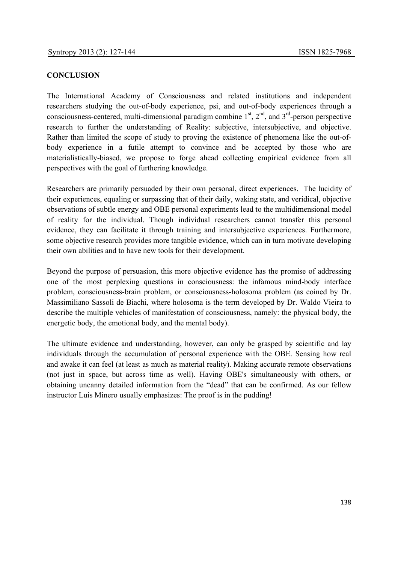#### **CONCLUSION**

The International Academy of Consciousness and related institutions and independent researchers studying the out-of-body experience, psi, and out-of-body experiences through a consciousness-centered, multi-dimensional paradigm combine  $1<sup>st</sup>$ ,  $2<sup>nd</sup>$ , and  $3<sup>rd</sup>$ -person perspective research to further the understanding of Reality: subjective, intersubjective, and objective. Rather than limited the scope of study to proving the existence of phenomena like the out-ofbody experience in a futile attempt to convince and be accepted by those who are materialistically-biased, we propose to forge ahead collecting empirical evidence from all perspectives with the goal of furthering knowledge.

Researchers are primarily persuaded by their own personal, direct experiences. The lucidity of their experiences, equaling or surpassing that of their daily, waking state, and veridical, objective observations of subtle energy and OBE personal experiments lead to the multidimensional model of reality for the individual. Though individual researchers cannot transfer this personal evidence, they can facilitate it through training and intersubjective experiences. Furthermore, some objective research provides more tangible evidence, which can in turn motivate developing their own abilities and to have new tools for their development.

Beyond the purpose of persuasion, this more objective evidence has the promise of addressing one of the most perplexing questions in consciousness: the infamous mind-body interface problem, consciousness-brain problem, or consciousness-holosoma problem (as coined by Dr. Massimiliano Sassoli de Biachi, where holosoma is the term developed by Dr. Waldo Vieira to describe the multiple vehicles of manifestation of consciousness, namely: the physical body, the energetic body, the emotional body, and the mental body).

The ultimate evidence and understanding, however, can only be grasped by scientific and lay individuals through the accumulation of personal experience with the OBE. Sensing how real and awake it can feel (at least as much as material reality). Making accurate remote observations (not just in space, but across time as well). Having OBE's simultaneously with others, or obtaining uncanny detailed information from the "dead" that can be confirmed. As our fellow instructor Luis Minero usually emphasizes: The proof is in the pudding!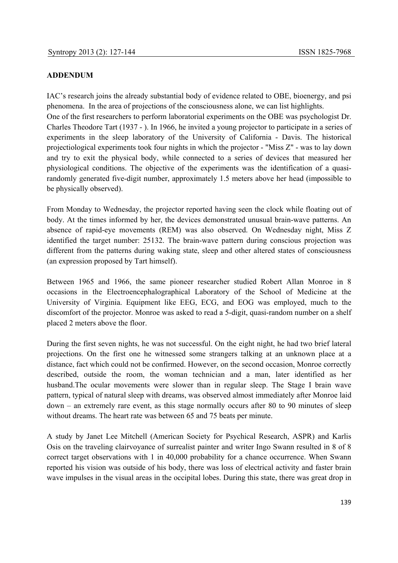#### **ADDENDUM**

IAC's research joins the already substantial body of evidence related to OBE, bioenergy, and psi phenomena. In the area of projections of the consciousness alone, we can list highlights. One of the first researchers to perform laboratorial experiments on the OBE was psychologist Dr. Charles Theodore Tart (1937 - ). In 1966, he invited a young projector to participate in a series of experiments in the sleep laboratory of the University of California - Davis. The historical projectiological experiments took four nights in which the projector - "Miss Z" - was to lay down and try to exit the physical body, while connected to a series of devices that measured her physiological conditions. The objective of the experiments was the identification of a quasirandomly generated five-digit number, approximately 1.5 meters above her head (impossible to be physically observed).

From Monday to Wednesday, the projector reported having seen the clock while floating out of body. At the times informed by her, the devices demonstrated unusual brain-wave patterns. An absence of rapid-eye movements (REM) was also observed. On Wednesday night, Miss Z identified the target number: 25132. The brain-wave pattern during conscious projection was different from the patterns during waking state, sleep and other altered states of consciousness (an expression proposed by Tart himself).

Between 1965 and 1966, the same pioneer researcher studied Robert Allan Monroe in 8 occasions in the Electroencephalographical Laboratory of the School of Medicine at the University of Virginia. Equipment like EEG, ECG, and EOG was employed, much to the discomfort of the projector. Monroe was asked to read a 5-digit, quasi-random number on a shelf placed 2 meters above the floor.

During the first seven nights, he was not successful. On the eight night, he had two brief lateral projections. On the first one he witnessed some strangers talking at an unknown place at a distance, fact which could not be confirmed. However, on the second occasion, Monroe correctly described, outside the room, the woman technician and a man, later identified as her husband.The ocular movements were slower than in regular sleep. The Stage I brain wave pattern, typical of natural sleep with dreams, was observed almost immediately after Monroe laid down – an extremely rare event, as this stage normally occurs after 80 to 90 minutes of sleep without dreams. The heart rate was between 65 and 75 beats per minute.

A study by Janet Lee Mitchell (American Society for Psychical Research, ASPR) and Karlis Osis on the traveling clairvoyance of surrealist painter and writer Ingo Swann resulted in 8 of 8 correct target observations with 1 in 40,000 probability for a chance occurrence. When Swann reported his vision was outside of his body, there was loss of electrical activity and faster brain wave impulses in the visual areas in the occipital lobes. During this state, there was great drop in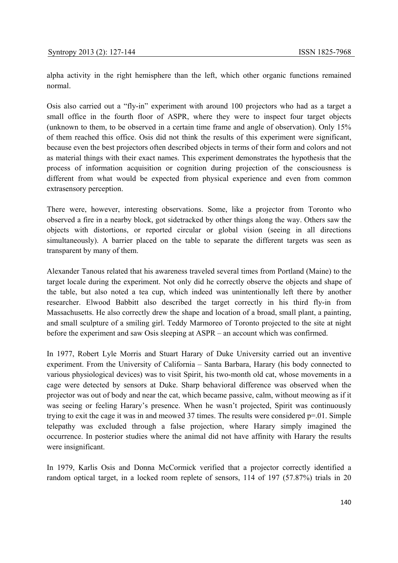alpha activity in the right hemisphere than the left, which other organic functions remained normal.

Osis also carried out a "fly-in" experiment with around 100 projectors who had as a target a small office in the fourth floor of ASPR, where they were to inspect four target objects (unknown to them, to be observed in a certain time frame and angle of observation). Only 15% of them reached this office. Osis did not think the results of this experiment were significant, because even the best projectors often described objects in terms of their form and colors and not as material things with their exact names. This experiment demonstrates the hypothesis that the process of information acquisition or cognition during projection of the consciousness is different from what would be expected from physical experience and even from common extrasensory perception.

There were, however, interesting observations. Some, like a projector from Toronto who observed a fire in a nearby block, got sidetracked by other things along the way. Others saw the objects with distortions, or reported circular or global vision (seeing in all directions simultaneously). A barrier placed on the table to separate the different targets was seen as transparent by many of them.

Alexander Tanous related that his awareness traveled several times from Portland (Maine) to the target locale during the experiment. Not only did he correctly observe the objects and shape of the table, but also noted a tea cup, which indeed was unintentionally left there by another researcher. Elwood Babbitt also described the target correctly in his third fly-in from Massachusetts. He also correctly drew the shape and location of a broad, small plant, a painting, and small sculpture of a smiling girl. Teddy Marmoreo of Toronto projected to the site at night before the experiment and saw Osis sleeping at ASPR – an account which was confirmed.

In 1977, Robert Lyle Morris and Stuart Harary of Duke University carried out an inventive experiment. From the University of California – Santa Barbara, Harary (his body connected to various physiological devices) was to visit Spirit, his two-month old cat, whose movements in a cage were detected by sensors at Duke. Sharp behavioral difference was observed when the projector was out of body and near the cat, which became passive, calm, without meowing as if it was seeing or feeling Harary's presence. When he wasn't projected, Spirit was continuously trying to exit the cage it was in and meowed 37 times. The results were considered p=.01. Simple telepathy was excluded through a false projection, where Harary simply imagined the occurrence. In posterior studies where the animal did not have affinity with Harary the results were insignificant.

In 1979, Karlis Osis and Donna McCormick verified that a projector correctly identified a random optical target, in a locked room replete of sensors, 114 of 197 (57.87%) trials in 20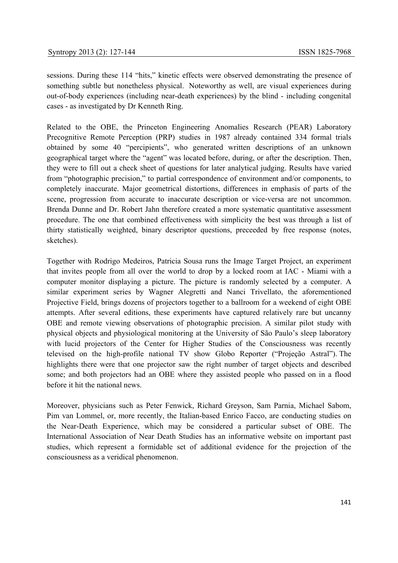sessions. During these 114 "hits," kinetic effects were observed demonstrating the presence of something subtle but nonetheless physical. Noteworthy as well, are visual experiences during out-of-body experiences (including near-death experiences) by the blind - including congenital cases - as investigated by Dr Kenneth Ring.

Related to the OBE, the Princeton Engineering Anomalies Research (PEAR) Laboratory Precognitive Remote Perception (PRP) studies in 1987 already contained 334 formal trials obtained by some 40 "percipients", who generated written descriptions of an unknown geographical target where the "agent" was located before, during, or after the description. Then, they were to fill out a check sheet of questions for later analytical judging. Results have varied from "photographic precision," to partial correspondence of environment and/or components, to completely inaccurate. Major geometrical distortions, differences in emphasis of parts of the scene, progression from accurate to inaccurate description or vice-versa are not uncommon. Brenda Dunne and Dr. Robert Jahn therefore created a more systematic quantitative assessment procedure. The one that combined effectiveness with simplicity the best was through a list of thirty statistically weighted, binary descriptor questions, preceeded by free response (notes, sketches).

Together with Rodrigo Medeiros, Patricia Sousa runs the Image Target Project, an experiment that invites people from all over the world to drop by a locked room at IAC - Miami with a computer monitor displaying a picture. The picture is randomly selected by a computer. A similar experiment series by Wagner Alegretti and Nanci Trivellato, the aforementioned Projective Field, brings dozens of projectors together to a ballroom for a weekend of eight OBE attempts. After several editions, these experiments have captured relatively rare but uncanny OBE and remote viewing observations of photographic precision. A similar pilot study with physical objects and physiological monitoring at the University of São Paulo's sleep laboratory with lucid projectors of the Center for Higher Studies of the Consciousness was recently televised on the high-profile national TV show Globo Reporter ("Projeção Astral"). The highlights there were that one projector saw the right number of target objects and described some; and both projectors had an OBE where they assisted people who passed on in a flood before it hit the national news.

Moreover, physicians such as Peter Fenwick, Richard Greyson, Sam Parnia, Michael Sabom, Pim van Lommel, or, more recently, the Italian-based Enrico Facco, are conducting studies on the Near-Death Experience, which may be considered a particular subset of OBE. The International Association of Near Death Studies has an informative website on important past studies, which represent a formidable set of additional evidence for the projection of the consciousness as a veridical phenomenon.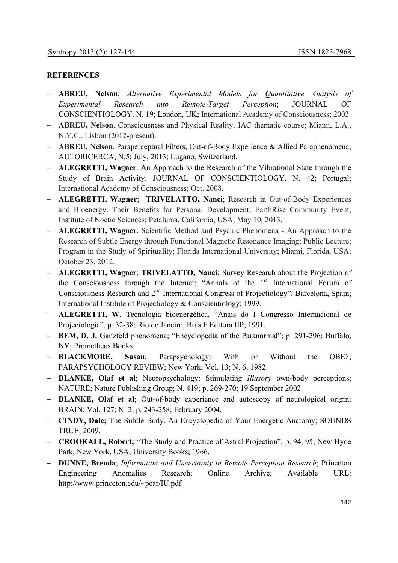#### **REFERENCES**

- − **ABREU, Nelson**; *Alternative Experimental Models for Quantitative Analysis of Experimental Research into Remote-Target Perception*; JOURNAL OF CONSCIENTIOLOGY. N. 19; London, UK; International Academy of Consciousness; 2003.
- − **ABREU, Nelson**. Consciousness and Physical Reality; IAC thematic course; Miami, L.A., N.Y.C., Lisbon (2012-present).
- − **ABREU, Nelson**. Paraperceptual Filters, Out-of-Body Experience & Allied Paraphenomena; AUTORICERCA; N.5; July, 2013; Lugano, Switzerland.
- − **ALEGRETTI, Wagner**. An Approach to the Research of the Vibrational State through the Study of Brain Activity. JOURNAL OF CONSCIENTIOLOGY. N. 42; Portugal; International Academy of Consciousness; Oct. 2008.
- − **ALEGRETTI, Wagner**; **TRIVELATTO, Nanci**; Research in Out-of-Body Experiences and Bioenergy: Their Benefits for Personal Development; EarthRise Community Event; Institute of Noetic Sciences; Petaluma, California, USA; May 10, 2013.
- − **ALEGRETTI, Wagner**. Scientific Method and Psychic Phenomena An Approach to the Research of Subtle Energy through Functional Magnetic Resonance Imaging; Public Lecture; Program in the Study of Spirituality; Florida International University; Miami, Florida, USA; October 23, 2012.
- − **ALEGRETTI, Wagner**; **TRIVELATTO, Nanci**; Survey Research about the Projection of the Consciousness through the Internet; "Annals of the  $1<sup>st</sup>$  International Forum of Consciousness Research and 2<sup>nd</sup> International Congress of Projectiology"; Barcelona, Spain; International Institute of Projectiology & Conscientiology; 1999.
- − **ALEGRETTI, W.** Tecnologia bioenergética. "Anais do I Congresso Internacional de Projeciologia", p. 32-38; Rio de Janeiro, Brasil; Editora IIP; 1991.
- − **BEM, D. J.** Ganzfeld phenomena; "Encyclopedia of the Paranormal"; p. 291-296; Buffalo, NY; Prometheus Books.
- − **BLACKMORE, Susan**; Parapsychology: With or Without the OBE*?*; PARAPSYCHOLOGY REVIEW; New York; Vol. 13; N. 6; 1982.
- − **BLANKE, Olaf et al**; Neuropsychology: Stimulating *Illusory* own-body perceptions; NATURE; Nature Publishing Group; N. 419; p. 269-270; 19 September 2002.
- − **BLANKE, Olaf et al**; Out-of-body experience and autoscopy of neurological origin; BRAIN; Vol. 127; N. 2; p. 243-258; February 2004.
- − **CINDY, Dale;** The Subtle Body. An Encyclopedia of Your Energetic Anatomy; SOUNDS TRUE; 2009.
- − **CROOKALL, Robert;** "The Study and Practice of Astral Projection"; p. 94, 95; New Hyde Park, New York, USA; University Books; 1966.
- − **DUNNE, Brenda**; *Information and Uncertainty in Remote Perception Research*; Princeton Engineering Anomalies Research; Online Archive; Available URL: http://www.princeton.edu/~pear/IU.pdf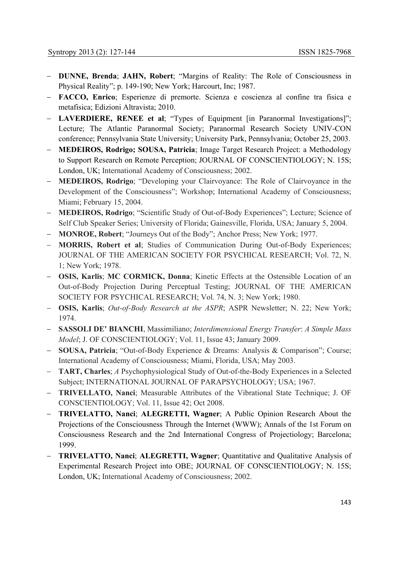- − **DUNNE, Brenda**; **JAHN, Robert**; "Margins of Reality: The Role of Consciousness in Physical Reality"; p. 149-190; New York; Harcourt, Inc; 1987.
- − **FACCO, Enrico**; Esperienze di premorte. Scienza e coscienza al confine tra fisica e metafisica; Edizioni Altravista; 2010.
- − **LAVERDIERE, RENEE et al**; "Types of Equipment [in Paranormal Investigations]"; Lecture; The Atlantic Paranormal Society; Paranormal Research Society UNIV-CON conference; Pennsylvania State University; University Park, Pennsylvania; October 25, 2003.
- − **MEDEIROS, Rodrigo; SOUSA, Patricia**; Image Target Research Project: a Methodology to Support Research on Remote Perception; JOURNAL OF CONSCIENTIOLOGY; N. 15S; London, UK; International Academy of Consciousness; 2002.
- **MEDEIROS, Rodrigo**; "Developing your Clairvoyance: The Role of Clairvoyance in the Development of the Consciousness"; Workshop; International Academy of Consciousness; Miami; February 15, 2004.
- − **MEDEIROS, Rodrigo**; "Scientific Study of Out-of-Body Experiences"; Lecture; Science of Self Club Speaker Series; University of Florida; Gainesville, Florida, USA; January 5, 2004.
- − **MONROE, Robert**; "Journeys Out of the Body"; Anchor Press; New York; 1977.
- − **MORRIS, Robert et al**; Studies of Communication During Out-of-Body Experiences; JOURNAL OF THE AMERICAN SOCIETY FOR PSYCHICAL RESEARCH; Vol. 72, N. 1; New York; 1978.
- − **OSIS, Karlis**; **MC CORMICK, Donna**; Kinetic Effects at the Ostensible Location of an Out-of-Body Projection During Perceptual Testing; JOURNAL OF THE AMERICAN SOCIETY FOR PSYCHICAL RESEARCH; Vol. 74, N. 3; New York; 1980.
- − **OSIS, Karlis**; *Out-of-Body Research at the ASPR*; ASPR Newsletter; N. 22; New York; 1974.
- − **SASSOLI DE' BIANCHI**, Massimiliano; *Interdimensional Energy Transfer*: *A Simple Mass Model*; J. OF CONSCIENTIOLOGY; Vol. 11, Issue 43; January 2009.
- − **SOUSA, Patricia**; "Out-of-Body Experience & Dreams: Analysis & Comparison"; Course; International Academy of Consciousness; Miami, Florida, USA; May 2003.
- − **TART, Charles**; *A* Psychophysiological Study of Out-of-the-Body Experiences in a Selected Subject; INTERNATIONAL JOURNAL OF PARAPSYCHOLOGY; USA; 1967.
- − **TRIVELLATO, Nanci**; Measurable Attributes of the Vibrational State Technique; J. OF CONSCIENTIOLOGY; Vol. 11, Issue 42; Oct 2008.
- − **TRIVELATTO, Nanci**; **ALEGRETTI, Wagner**; A Public Opinion Research About the Projections of the Consciousness Through the Internet (WWW); Annals of the 1st Forum on Consciousness Research and the 2nd International Congress of Projectiology; Barcelona; 1999.
- − **TRIVELATTO, Nanci**; **ALEGRETTI, Wagner**; Quantitative and Qualitative Analysis of Experimental Research Project into OBE; JOURNAL OF CONSCIENTIOLOGY; N. 15S; London, UK; International Academy of Consciousness; 2002.